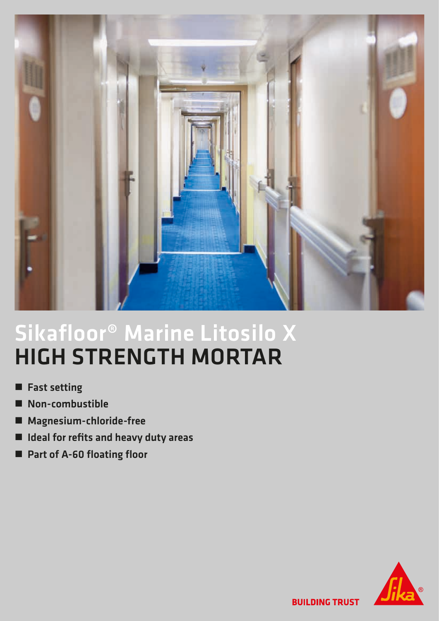

## Sikafloor® Marine Litosilo X HIGH STRENGTH MORTAR

- **n** Fast setting
- Non-combustible
- Magnesium-chloride-free
- $\blacksquare$  Ideal for refits and heavy duty areas
- Part of A-60 floating floor



**BUILDING TRUST**